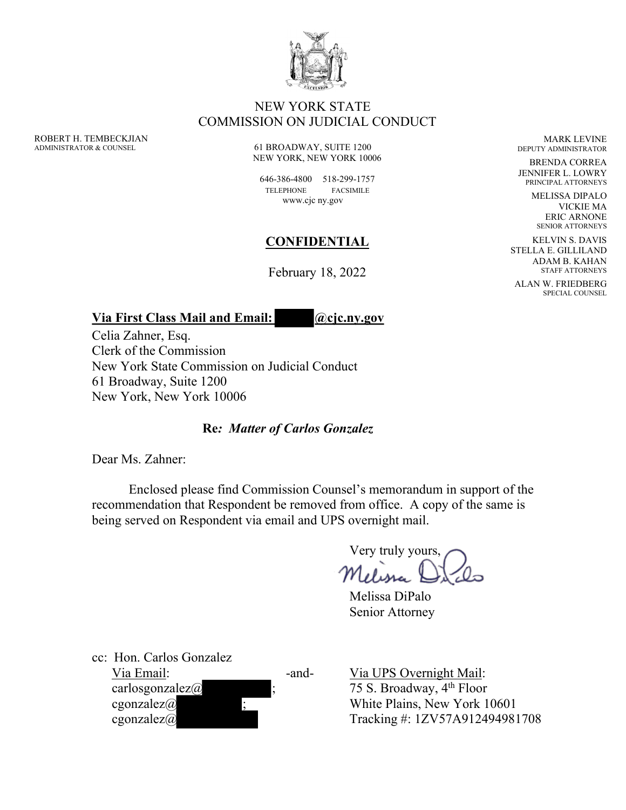

#### NEW YORK STATE COMMISSION ON JUDICIAL CONDUCT

ROBERT H. TEMBECKJIAN ADMINISTRATOR & COUNSEL

61 BROADWAY, SUITE 1200 NEW YORK, NEW YORK 10006

646-386-4800 518-299-1757 TELEPHONE FACSIMILE www.cjc ny.gov

## **CONFIDENTIAL**

February 18, 2022

**Via First Class Mail and Email: @cjc.ny.gov**

Celia Zahner, Esq. Clerk of the Commission New York State Commission on Judicial Conduct 61 Broadway, Suite 1200 New York, New York 10006

## **Re***: Matter of Carlos Gonzalez*

Dear Ms. Zahner:

Enclosed please find Commission Counsel's memorandum in support of the recommendation that Respondent be removed from office. A copy of the same is being served on Respondent via email and UPS overnight mail.

Very truly yours,

Melissa DiPalo

Senior Attorney

cc: Hon. Carlos Gonzalez

| Via Email:              | -a |
|-------------------------|----|
| carlosgonzalez $\alpha$ |    |
| cgonzalez $\alpha$      |    |
| cgonzalez $\alpha$      |    |

Ind- Via UPS Overnight Mail: 75 S. Broadway,  $4<sup>th</sup>$  Floor White Plains, New York 10601 Tracking #: 1ZV57A912494981708

MARK LEVINE DEPUTY ADMINISTRATOR

BRENDA CORREA JENNIFER L. LOWRY PRINCIPAL ATTORNEYS

> MELISSA DIPALO VICKIE MA ERIC ARNONE SENIOR ATTORNEYS

KELVIN S. DAVIS STELLA E. GILLILAND ADAM B. KAHAN STAFF ATTORNEYS

ALAN W. FRIEDBERG SPECIAL COUNSEL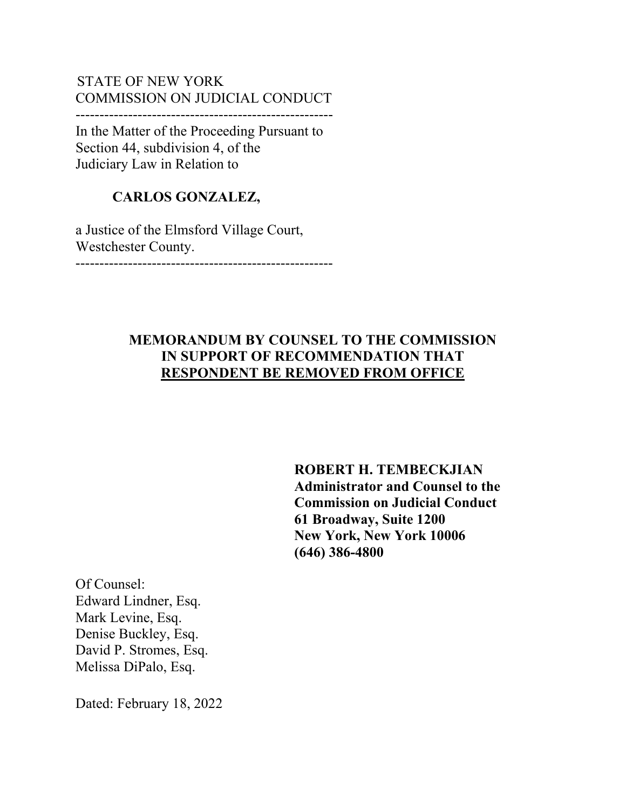## STATE OF NEW YORK COMMISSION ON JUDICIAL CONDUCT

------------------------------------------------------

In the Matter of the Proceeding Pursuant to Section 44, subdivision 4, of the Judiciary Law in Relation to

## **CARLOS GONZALEZ,**

a Justice of the Elmsford Village Court, Westchester County.

------------------------------------------------------

## **MEMORANDUM BY COUNSEL TO THE COMMISSION IN SUPPORT OF RECOMMENDATION THAT RESPONDENT BE REMOVED FROM OFFICE**

**ROBERT H. TEMBECKJIAN Administrator and Counsel to the Commission on Judicial Conduct 61 Broadway, Suite 1200 New York, New York 10006 (646) 386-4800**

Of Counsel: Edward Lindner, Esq. Mark Levine, Esq. Denise Buckley, Esq. David P. Stromes, Esq. Melissa DiPalo, Esq.

Dated: February 18, 2022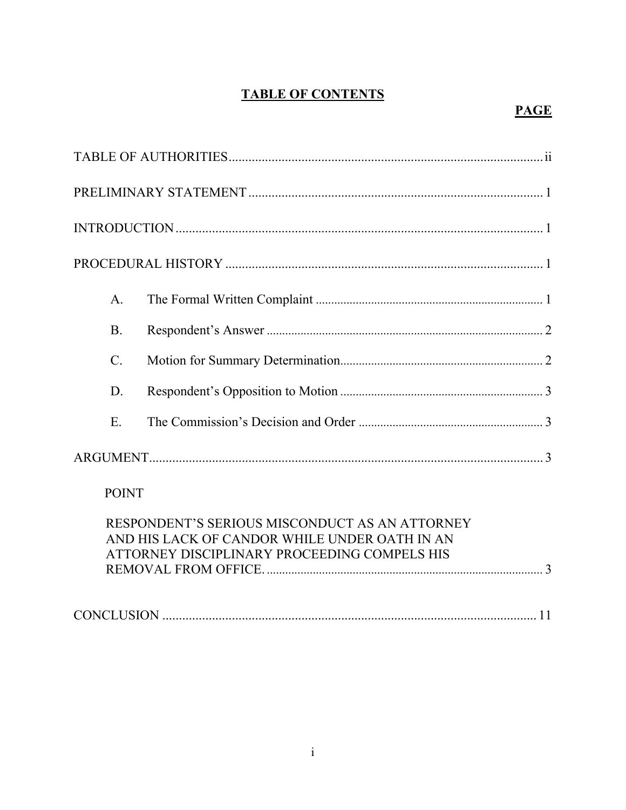# **TABLE OF CONTENTS**

| A <sub>1</sub>  |
|-----------------|
| <b>B.</b>       |
| $\mathcal{C}$ . |
| D.              |
| Ε.              |
|                 |
| <b>POINT</b>    |

| RESPONDENT'S SERIOUS MISCONDUCT AS AN ATTORNEY |  |
|------------------------------------------------|--|
| AND HIS LACK OF CANDOR WHILE UNDER OATH IN AN  |  |
| ATTORNEY DISCIPLINARY PROCEEDING COMPELS HIS   |  |
|                                                |  |
|                                                |  |
|                                                |  |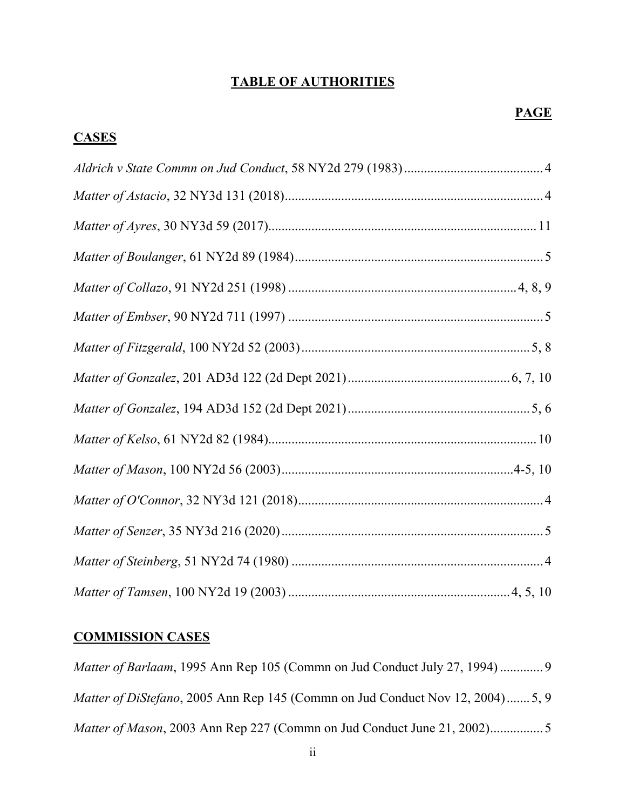### **TABLE OF AUTHORITIES**

## **CASES**

## **COMMISSION CASES**

*Matter of Barlaam*, 1995 Ann Rep 105 (Commn on Jud Conduct July 27, 1994) ............. 9 *Matter of DiStefano*, 2005 Ann Rep 145 (Commn on Jud Conduct Nov 12, 2004).......5, 9 *Matter of Mason*, 2003 Ann Rep 227 (Commn on Jud Conduct June 21, 2002)................ 5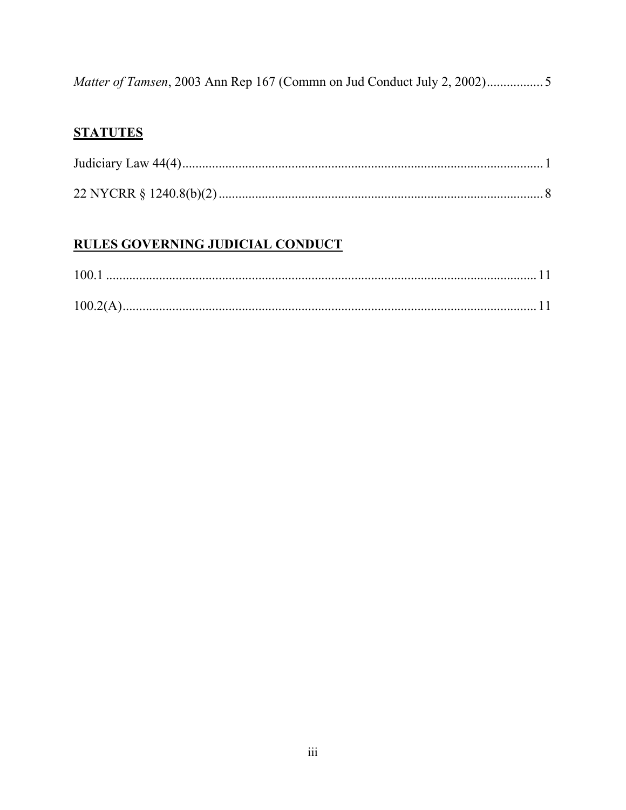# **STATUTES**

# **RULES GOVERNING JUDICIAL CONDUCT**

| 100.1 |  |
|-------|--|
|       |  |
|       |  |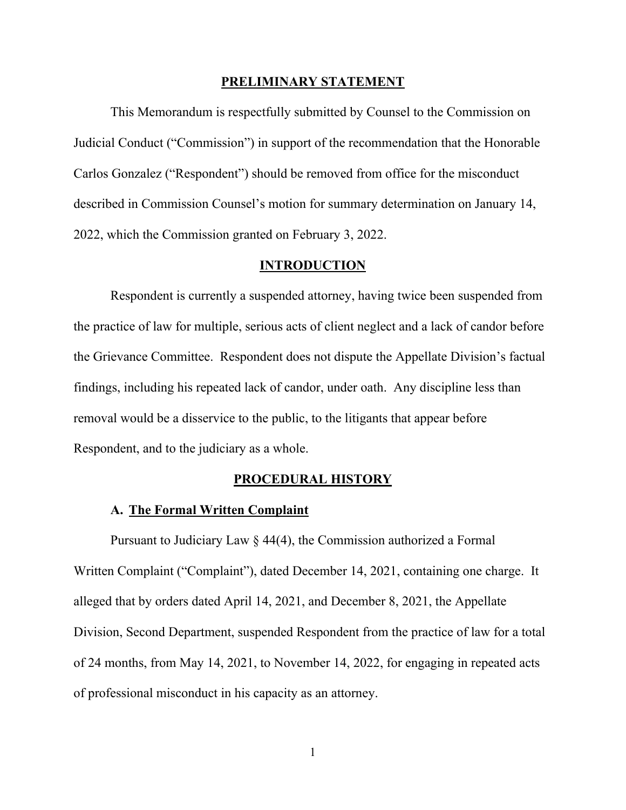#### **PRELIMINARY STATEMENT**

This Memorandum is respectfully submitted by Counsel to the Commission on Judicial Conduct ("Commission") in support of the recommendation that the Honorable Carlos Gonzalez ("Respondent") should be removed from office for the misconduct described in Commission Counsel's motion for summary determination on January 14, 2022, which the Commission granted on February 3, 2022.

#### **INTRODUCTION**

Respondent is currently a suspended attorney, having twice been suspended from the practice of law for multiple, serious acts of client neglect and a lack of candor before the Grievance Committee. Respondent does not dispute the Appellate Division's factual findings, including his repeated lack of candor, under oath. Any discipline less than removal would be a disservice to the public, to the litigants that appear before Respondent, and to the judiciary as a whole.

#### **PROCEDURAL HISTORY**

#### **A. The Formal Written Complaint**

Pursuant to Judiciary Law § 44(4), the Commission authorized a Formal Written Complaint ("Complaint"), dated December 14, 2021, containing one charge. It alleged that by orders dated April 14, 2021, and December 8, 2021, the Appellate Division, Second Department, suspended Respondent from the practice of law for a total of 24 months, from May 14, 2021, to November 14, 2022, for engaging in repeated acts of professional misconduct in his capacity as an attorney.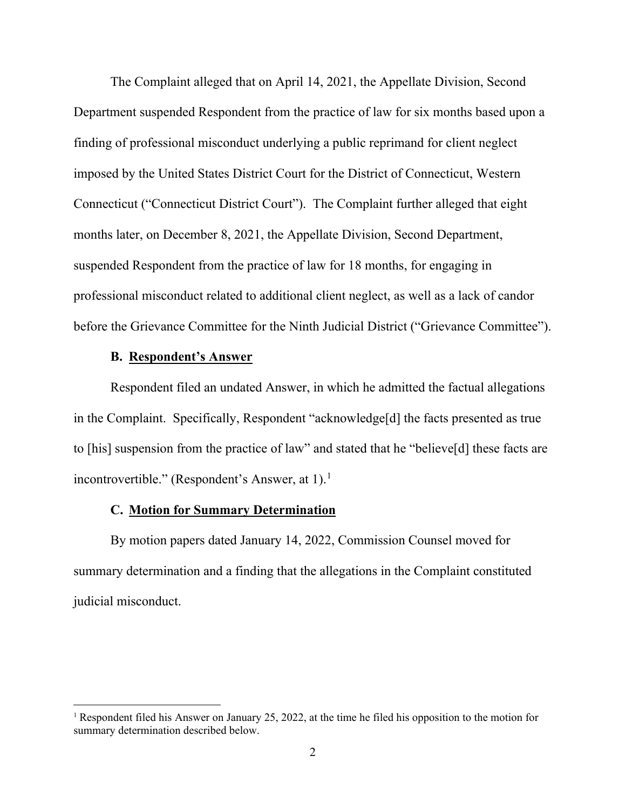The Complaint alleged that on April 14, 2021, the Appellate Division, Second Department suspended Respondent from the practice of law for six months based upon a finding of professional misconduct underlying a public reprimand for client neglect imposed by the United States District Court for the District of Connecticut, Western Connecticut ("Connecticut District Court"). The Complaint further alleged that eight months later, on December 8, 2021, the Appellate Division, Second Department, suspended Respondent from the practice of law for 18 months, for engaging in professional misconduct related to additional client neglect, as well as a lack of candor before the Grievance Committee for the Ninth Judicial District ("Grievance Committee").

#### **B. Respondent's Answer**

Respondent filed an undated Answer, in which he admitted the factual allegations in the Complaint. Specifically, Respondent "acknowledge[d] the facts presented as true to [his] suspension from the practice of law" and stated that he "believe[d] these facts are incontrovertible." (Respondent's Answer, at  $1$ ).<sup>1</sup>

#### **C. Motion for Summary Determination**

By motion papers dated January 14, 2022, Commission Counsel moved for summary determination and a finding that the allegations in the Complaint constituted judicial misconduct.

<span id="page-6-0"></span><sup>&</sup>lt;sup>1</sup> Respondent filed his Answer on January 25, 2022, at the time he filed his opposition to the motion for summary determination described below.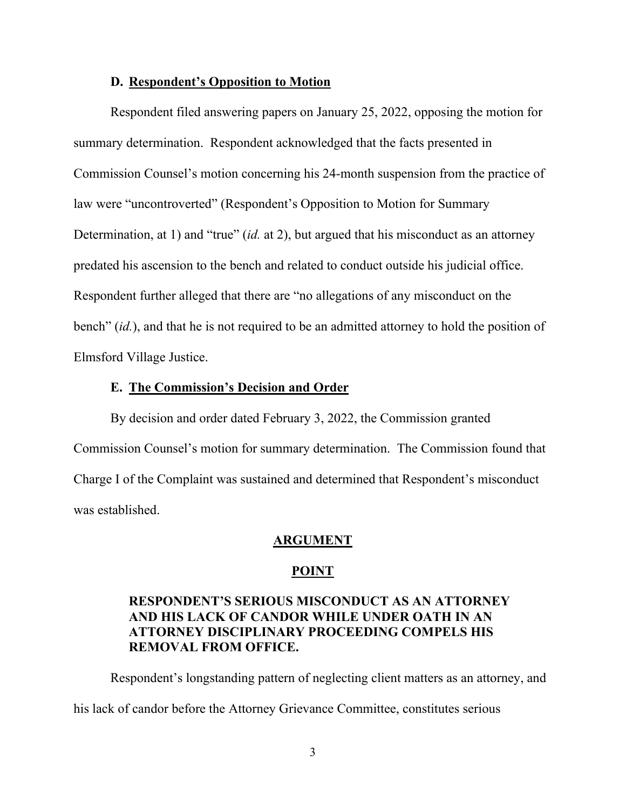#### **D. Respondent's Opposition to Motion**

Respondent filed answering papers on January 25, 2022, opposing the motion for summary determination. Respondent acknowledged that the facts presented in Commission Counsel's motion concerning his 24-month suspension from the practice of law were "uncontroverted" (Respondent's Opposition to Motion for Summary Determination, at 1) and "true" *(id.* at 2), but argued that his misconduct as an attorney predated his ascension to the bench and related to conduct outside his judicial office. Respondent further alleged that there are "no allegations of any misconduct on the bench" (*id.*), and that he is not required to be an admitted attorney to hold the position of Elmsford Village Justice.

#### **E. The Commission's Decision and Order**

By decision and order dated February 3, 2022, the Commission granted Commission Counsel's motion for summary determination. The Commission found that Charge I of the Complaint was sustained and determined that Respondent's misconduct was established.

#### **ARGUMENT**

#### **POINT**

## **RESPONDENT'S SERIOUS MISCONDUCT AS AN ATTORNEY AND HIS LACK OF CANDOR WHILE UNDER OATH IN AN ATTORNEY DISCIPLINARY PROCEEDING COMPELS HIS REMOVAL FROM OFFICE.**

Respondent's longstanding pattern of neglecting client matters as an attorney, and his lack of candor before the Attorney Grievance Committee, constitutes serious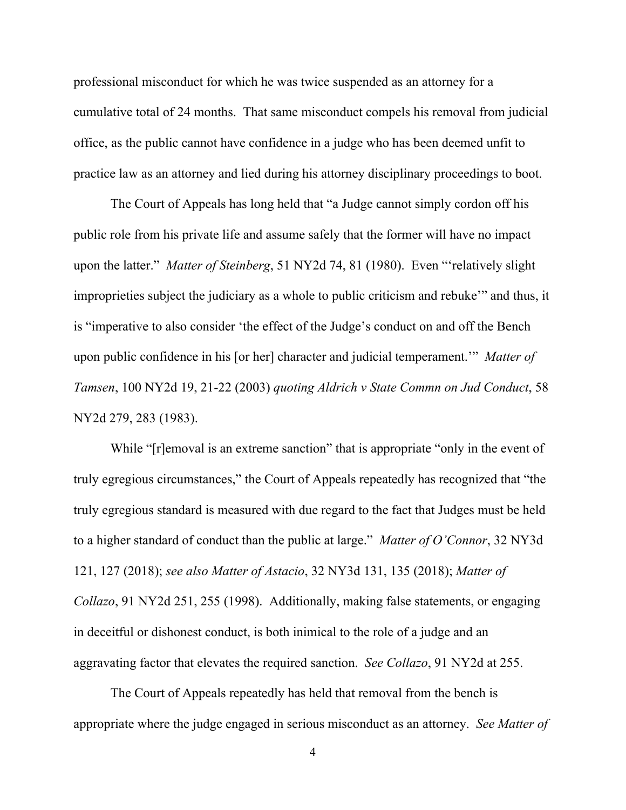professional misconduct for which he was twice suspended as an attorney for a cumulative total of 24 months. That same misconduct compels his removal from judicial office, as the public cannot have confidence in a judge who has been deemed unfit to practice law as an attorney and lied during his attorney disciplinary proceedings to boot.

The Court of Appeals has long held that "a Judge cannot simply cordon off his public role from his private life and assume safely that the former will have no impact upon the latter." *Matter of Steinberg*, 51 NY2d 74, 81 (1980). Even "'relatively slight improprieties subject the judiciary as a whole to public criticism and rebuke'" and thus, it is "imperative to also consider 'the effect of the Judge's conduct on and off the Bench upon public confidence in his [or her] character and judicial temperament.'" *Matter of Tamsen*, 100 NY2d 19, 21-22 (2003) *quoting Aldrich v State Commn on Jud Conduct*, 58 NY2d 279, 283 (1983).

While "[r]emoval is an extreme sanction" that is appropriate "only in the event of truly egregious circumstances," the Court of Appeals repeatedly has recognized that "the truly egregious standard is measured with due regard to the fact that Judges must be held to a higher standard of conduct than the public at large." *Matter of O'Connor*, 32 NY3d 121, 127 (2018); *see also Matter of Astacio*, 32 NY3d 131, 135 (2018); *Matter of Collazo*, 91 NY2d 251, 255 (1998). Additionally, making false statements, or engaging in deceitful or dishonest conduct, is both inimical to the role of a judge and an aggravating factor that elevates the required sanction. *See Collazo*, 91 NY2d at 255.

The Court of Appeals repeatedly has held that removal from the bench is appropriate where the judge engaged in serious misconduct as an attorney. *See Matter of*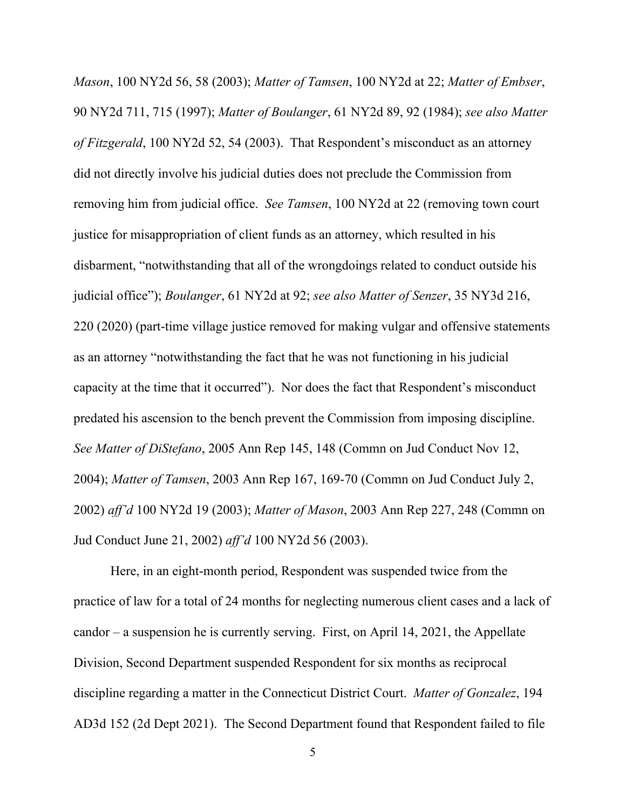*Mason*, 100 NY2d 56, 58 (2003); *Matter of Tamsen*, 100 NY2d at 22; *Matter of Embser*, 90 NY2d 711, 715 (1997); *Matter of Boulanger*, 61 NY2d 89, 92 (1984); *see also Matter of Fitzgerald*, 100 NY2d 52, 54 (2003). That Respondent's misconduct as an attorney did not directly involve his judicial duties does not preclude the Commission from removing him from judicial office. *See Tamsen*, 100 NY2d at 22 (removing town court justice for misappropriation of client funds as an attorney, which resulted in his disbarment, "notwithstanding that all of the wrongdoings related to conduct outside his judicial office"); *Boulanger*, 61 NY2d at 92; *see also Matter of Senzer*, 35 NY3d 216, 220 (2020) (part-time village justice removed for making vulgar and offensive statements as an attorney "notwithstanding the fact that he was not functioning in his judicial capacity at the time that it occurred"). Nor does the fact that Respondent's misconduct predated his ascension to the bench prevent the Commission from imposing discipline. *See Matter of DiStefano*, 2005 Ann Rep 145, 148 (Commn on Jud Conduct Nov 12, 2004); *Matter of Tamsen*, 2003 Ann Rep 167, 169-70 (Commn on Jud Conduct July 2, 2002) *aff'd* 100 NY2d 19 (2003); *Matter of Mason*, 2003 Ann Rep 227, 248 (Commn on Jud Conduct June 21, 2002) *aff'd* 100 NY2d 56 (2003).

Here, in an eight-month period, Respondent was suspended twice from the practice of law for a total of 24 months for neglecting numerous client cases and a lack of candor – a suspension he is currently serving. First, on April 14, 2021, the Appellate Division, Second Department suspended Respondent for six months as reciprocal discipline regarding a matter in the Connecticut District Court. *Matter of Gonzalez*, 194 AD3d 152 (2d Dept 2021). The Second Department found that Respondent failed to file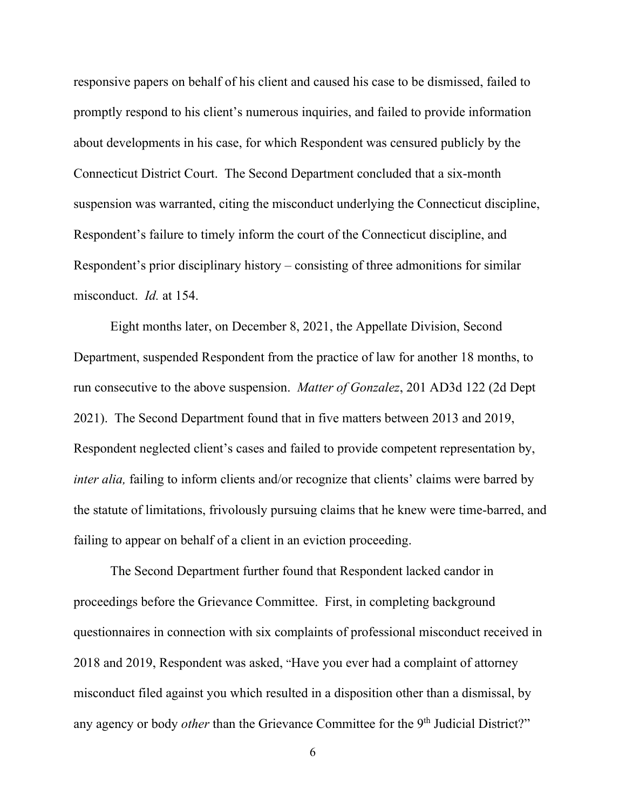responsive papers on behalf of his client and caused his case to be dismissed, failed to promptly respond to his client's numerous inquiries, and failed to provide information about developments in his case, for which Respondent was censured publicly by the Connecticut District Court. The Second Department concluded that a six-month suspension was warranted, citing the misconduct underlying the Connecticut discipline, Respondent's failure to timely inform the court of the Connecticut discipline, and Respondent's prior disciplinary history – consisting of three admonitions for similar misconduct. *Id.* at 154.

Eight months later, on December 8, 2021, the Appellate Division, Second Department, suspended Respondent from the practice of law for another 18 months, to run consecutive to the above suspension. *Matter of Gonzalez*, 201 AD3d 122 (2d Dept 2021). The Second Department found that in five matters between 2013 and 2019, Respondent neglected client's cases and failed to provide competent representation by, *inter alia,* failing to inform clients and/or recognize that clients' claims were barred by the statute of limitations, frivolously pursuing claims that he knew were time-barred, and failing to appear on behalf of a client in an eviction proceeding.

The Second Department further found that Respondent lacked candor in proceedings before the Grievance Committee. First, in completing background questionnaires in connection with six complaints of professional misconduct received in 2018 and 2019, Respondent was asked, "Have you ever had a complaint of attorney misconduct filed against you which resulted in a disposition other than a dismissal, by any agency or body *other* than the Grievance Committee for the 9<sup>th</sup> Judicial District?"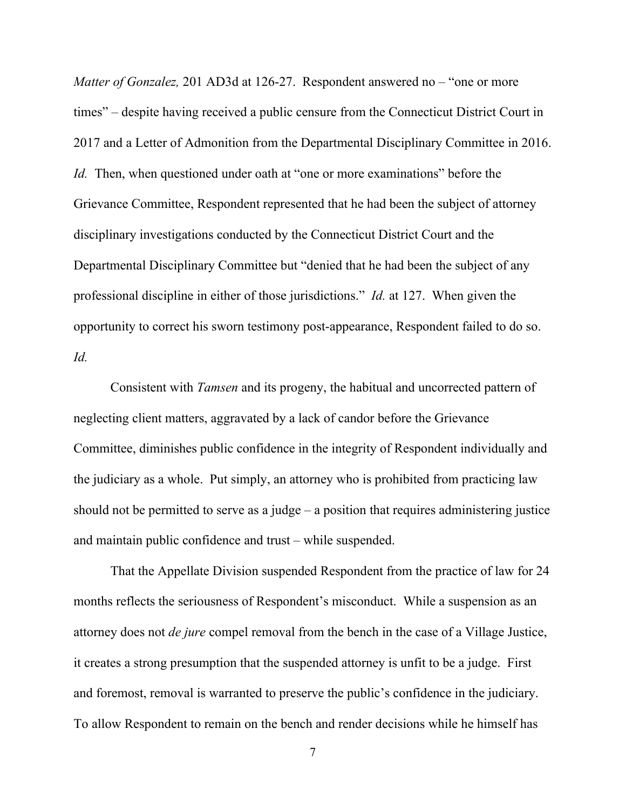*Matter of Gonzalez,* 201 AD3d at 126-27. Respondent answered no – "one or more times" – despite having received a public censure from the Connecticut District Court in 2017 and a Letter of Admonition from the Departmental Disciplinary Committee in 2016. *Id.* Then, when questioned under oath at "one or more examinations" before the Grievance Committee, Respondent represented that he had been the subject of attorney disciplinary investigations conducted by the Connecticut District Court and the Departmental Disciplinary Committee but "denied that he had been the subject of any professional discipline in either of those jurisdictions." *Id.* at 127.When given the opportunity to correct his sworn testimony post-appearance, Respondent failed to do so. *Id.* 

Consistent with *Tamsen* and its progeny, the habitual and uncorrected pattern of neglecting client matters, aggravated by a lack of candor before the Grievance Committee, diminishes public confidence in the integrity of Respondent individually and the judiciary as a whole. Put simply, an attorney who is prohibited from practicing law should not be permitted to serve as a judge – a position that requires administering justice and maintain public confidence and trust – while suspended.

That the Appellate Division suspended Respondent from the practice of law for 24 months reflects the seriousness of Respondent's misconduct. While a suspension as an attorney does not *de jure* compel removal from the bench in the case of a Village Justice, it creates a strong presumption that the suspended attorney is unfit to be a judge. First and foremost, removal is warranted to preserve the public's confidence in the judiciary. To allow Respondent to remain on the bench and render decisions while he himself has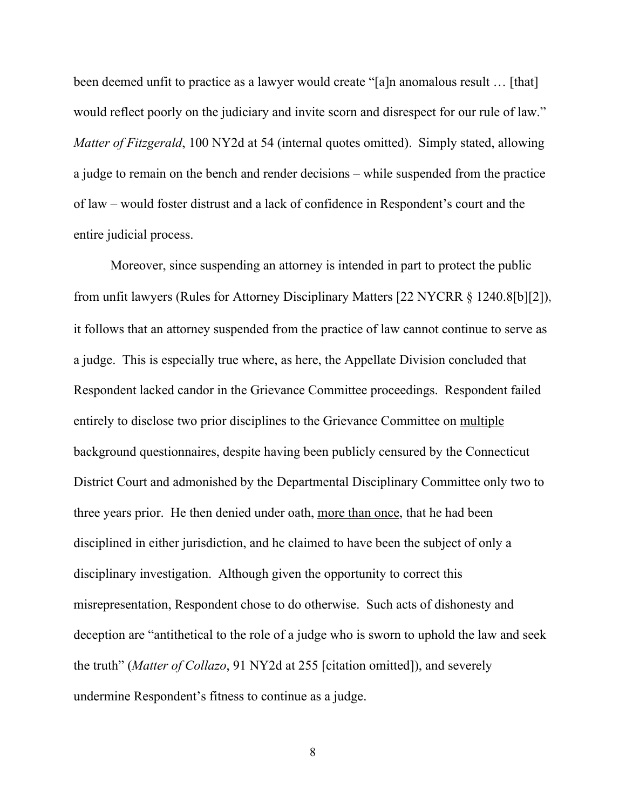been deemed unfit to practice as a lawyer would create "[a]n anomalous result ... [that] would reflect poorly on the judiciary and invite scorn and disrespect for our rule of law." *Matter of Fitzgerald*, 100 NY2d at 54 (internal quotes omitted). Simply stated, allowing a judge to remain on the bench and render decisions – while suspended from the practice of law – would foster distrust and a lack of confidence in Respondent's court and the entire judicial process.

Moreover, since suspending an attorney is intended in part to protect the public from unfit lawyers (Rules for Attorney Disciplinary Matters [22 NYCRR § 1240.8[b][2]), it follows that an attorney suspended from the practice of law cannot continue to serve as a judge. This is especially true where, as here, the Appellate Division concluded that Respondent lacked candor in the Grievance Committee proceedings. Respondent failed entirely to disclose two prior disciplines to the Grievance Committee on multiple background questionnaires, despite having been publicly censured by the Connecticut District Court and admonished by the Departmental Disciplinary Committee only two to three years prior. He then denied under oath, more than once, that he had been disciplined in either jurisdiction, and he claimed to have been the subject of only a disciplinary investigation. Although given the opportunity to correct this misrepresentation, Respondent chose to do otherwise. Such acts of dishonesty and deception are "antithetical to the role of a judge who is sworn to uphold the law and seek the truth" (*Matter of Collazo*, 91 NY2d at 255 [citation omitted]), and severely undermine Respondent's fitness to continue as a judge.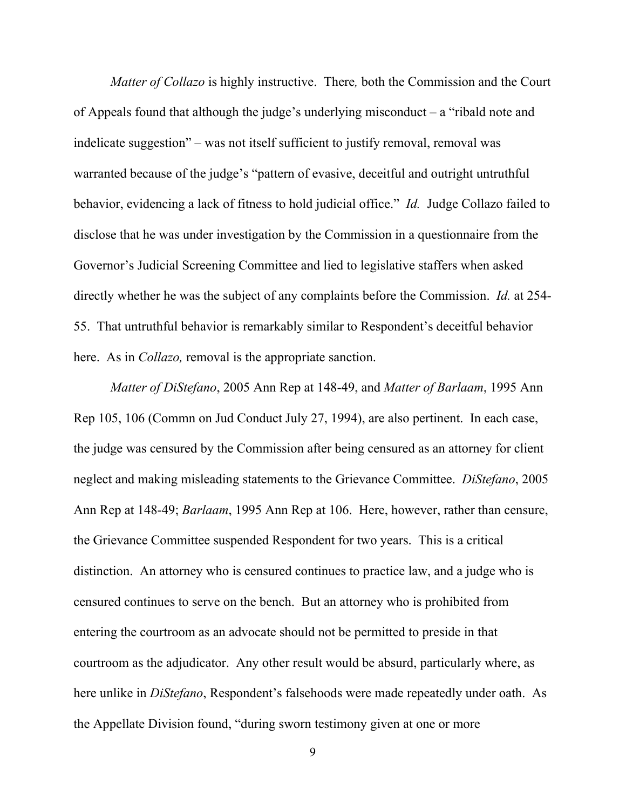*Matter of Collazo* is highly instructive. There*,* both the Commission and the Court of Appeals found that although the judge's underlying misconduct – a "ribald note and indelicate suggestion" – was not itself sufficient to justify removal, removal was warranted because of the judge's "pattern of evasive, deceitful and outright untruthful behavior, evidencing a lack of fitness to hold judicial office." *Id.* Judge Collazo failed to disclose that he was under investigation by the Commission in a questionnaire from the Governor's Judicial Screening Committee and lied to legislative staffers when asked directly whether he was the subject of any complaints before the Commission. *Id.* at 254- 55. That untruthful behavior is remarkably similar to Respondent's deceitful behavior here. As in *Collazo*, removal is the appropriate sanction.

*Matter of DiStefano*, 2005 Ann Rep at 148-49, and *Matter of Barlaam*, 1995 Ann Rep 105, 106 (Commn on Jud Conduct July 27, 1994), are also pertinent. In each case, the judge was censured by the Commission after being censured as an attorney for client neglect and making misleading statements to the Grievance Committee. *DiStefano*, 2005 Ann Rep at 148-49; *Barlaam*, 1995 Ann Rep at 106. Here, however, rather than censure, the Grievance Committee suspended Respondent for two years. This is a critical distinction. An attorney who is censured continues to practice law, and a judge who is censured continues to serve on the bench. But an attorney who is prohibited from entering the courtroom as an advocate should not be permitted to preside in that courtroom as the adjudicator. Any other result would be absurd, particularly where, as here unlike in *DiStefano*, Respondent's falsehoods were made repeatedly under oath. As the Appellate Division found, "during sworn testimony given at one or more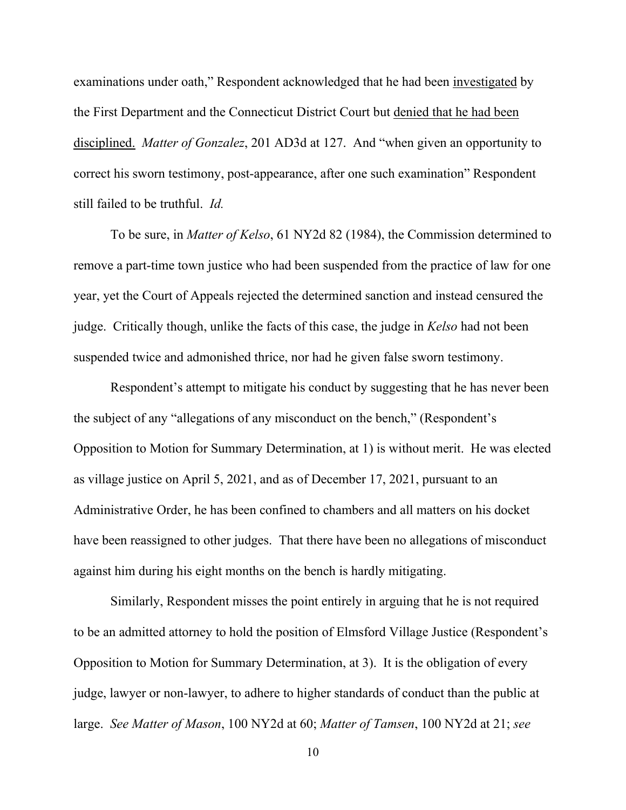examinations under oath," Respondent acknowledged that he had been investigated by the First Department and the Connecticut District Court but denied that he had been disciplined. *Matter of Gonzalez*, 201 AD3d at 127. And "when given an opportunity to correct his sworn testimony, post-appearance, after one such examination" Respondent still failed to be truthful. *Id.*

To be sure, in *Matter of Kelso*, 61 NY2d 82 (1984), the Commission determined to remove a part-time town justice who had been suspended from the practice of law for one year, yet the Court of Appeals rejected the determined sanction and instead censured the judge. Critically though, unlike the facts of this case, the judge in *Kelso* had not been suspended twice and admonished thrice, nor had he given false sworn testimony.

Respondent's attempt to mitigate his conduct by suggesting that he has never been the subject of any "allegations of any misconduct on the bench," (Respondent's Opposition to Motion for Summary Determination, at 1) is without merit. He was elected as village justice on April 5, 2021, and as of December 17, 2021, pursuant to an Administrative Order, he has been confined to chambers and all matters on his docket have been reassigned to other judges. That there have been no allegations of misconduct against him during his eight months on the bench is hardly mitigating.

Similarly, Respondent misses the point entirely in arguing that he is not required to be an admitted attorney to hold the position of Elmsford Village Justice (Respondent's Opposition to Motion for Summary Determination, at 3). It is the obligation of every judge, lawyer or non-lawyer, to adhere to higher standards of conduct than the public at large. *See Matter of Mason*, 100 NY2d at 60; *Matter of Tamsen*, 100 NY2d at 21; *see*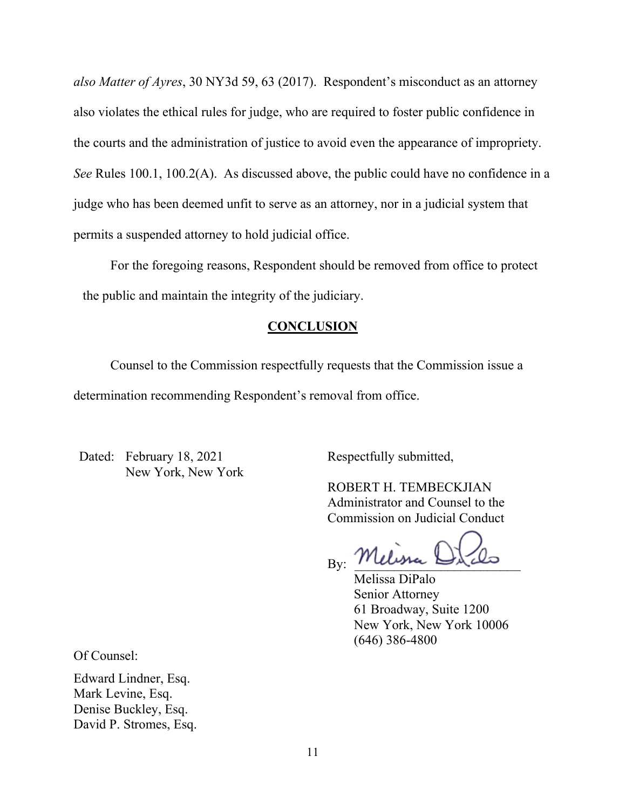*also Matter of Ayres*, 30 NY3d 59, 63 (2017). Respondent's misconduct as an attorney also violates the ethical rules for judge, who are required to foster public confidence in the courts and the administration of justice to avoid even the appearance of impropriety. *See* Rules 100.1, 100.2(A). As discussed above, the public could have no confidence in a judge who has been deemed unfit to serve as an attorney, nor in a judicial system that permits a suspended attorney to hold judicial office.

For the foregoing reasons, Respondent should be removed from office to protect the public and maintain the integrity of the judiciary.

#### **CONCLUSION**

Counsel to the Commission respectfully requests that the Commission issue a determination recommending Respondent's removal from office.

Dated: February 18, 2021 New York, New York Respectfully submitted,

ROBERT H. TEMBECKJIAN Administrator and Counsel to the Commission on Judicial Conduct

 $B$ y:  $\overline{\phantom{a}}$  received  $\overline{\phantom{a}}$  and  $\overline{\phantom{a}}$ 

 Melissa DiPalo Senior Attorney 61 Broadway, Suite 1200 New York, New York 10006 (646) 386-4800

Of Counsel:

Edward Lindner, Esq. Mark Levine, Esq. Denise Buckley, Esq. David P. Stromes, Esq.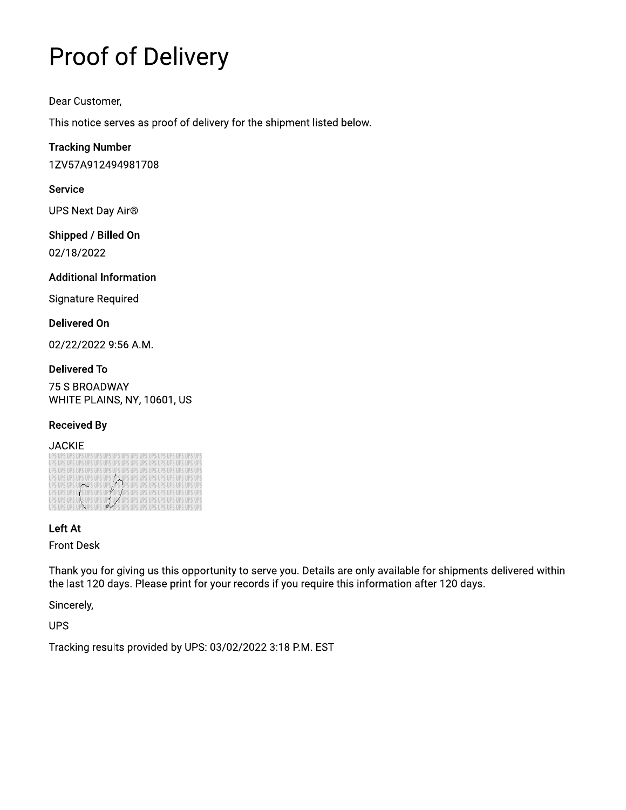# **Proof of Delivery**

Dear Customer,

This notice serves as proof of delivery for the shipment listed below.

#### **Tracking Number**

1ZV57A912494981708

#### **Service**

**UPS Next Day Air®** 

#### Shipped / Billed On

02/18/2022

#### **Additional Information**

**Signature Required** 

#### **Delivered On**

02/22/2022 9:56 A.M.

#### **Delivered To**

75 S BROADWAY WHITE PLAINS, NY, 10601, US

#### **Received By**

#### **JACKIE**



#### Left At

**Front Desk** 

Thank you for giving us this opportunity to serve you. Details are only available for shipments delivered within the last 120 days. Please print for your records if you require this information after 120 days.

Sincerely,

**UPS** 

Tracking results provided by UPS: 03/02/2022 3:18 P.M. EST